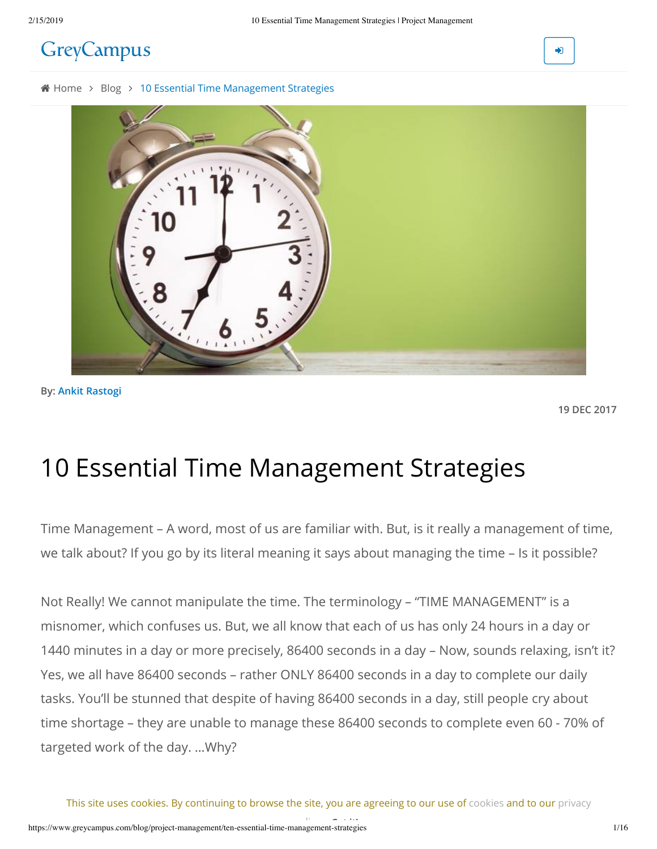# **GreyCampus**

♪

4 [Home](https://www.greycampus.com/) > [Blog](https://www.greycampus.com/blog) > 10 Essential Time Management Strategies



**By: Ankit Rastogi**

**19 DEC 2017**

# 10 Essential Time Management Strategies

Time Management – A word, most of us are familiar with. But, is it really a management of time, we talk about? If you go by its literal meaning it says about managing the time – Is it possible?

Not Really! We cannot manipulate the time. The terminology – "TIME MANAGEMENT" is a misnomer, which confuses us. But, we all know that each of us has only 24 hours in a day or 1440 minutes in a day or more precisely, 86400 seconds in a day – Now, sounds relaxing, isn't it? Yes, we all have 86400 seconds – rather ONLY 86400 seconds in a day to complete our daily tasks. You'll be stunned that despite of having 86400 seconds in a day, still people cry about time shortage – they are unable to manage these 86400 seconds to complete even 60 - 70% of targeted work of the day. …Why?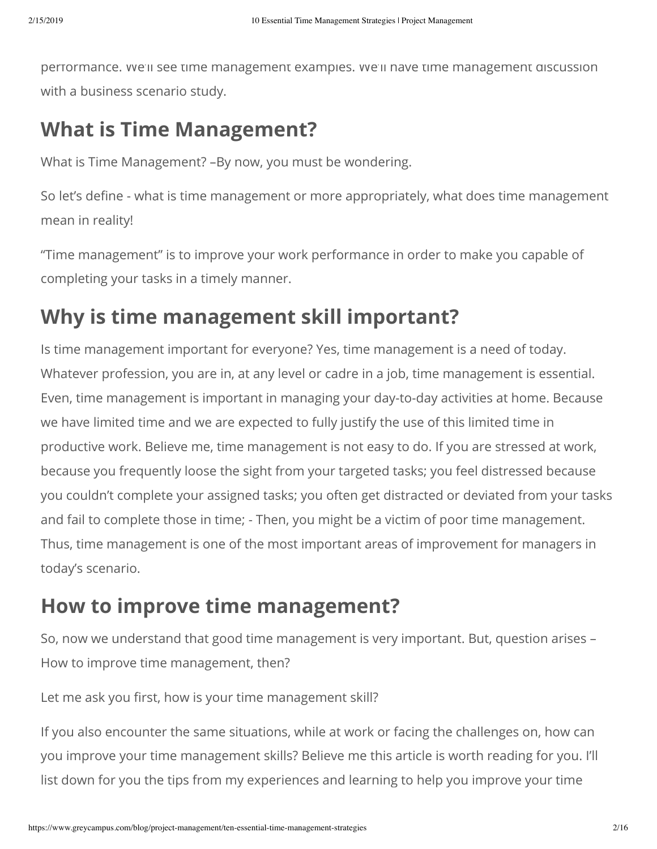performance. We'll see time management examples. We'll have time management discussion with a business scenario study.

# **What is Time Management?**

What is Time Management? –By now, you must be wondering.

So let's define - what is time management or more appropriately, what does time management mean in reality!

"Time management" is to improve your work performance in order to make you capable of completing your tasks in a timely manner.

# **Why is time management skill important?**

Is time management important for everyone? Yes, time management is a need of today. Whatever profession, you are in, at any level or cadre in a job, time management is essential. Even, time management is important in managing your day-to-day activities at home. Because we have limited time and we are expected to fully justify the use of this limited time in productive work. Believe me, time management is not easy to do. If you are stressed at work, because you frequently loose the sight from your targeted tasks; you feel distressed because you couldn't complete your assigned tasks; you often get distracted or deviated from your tasks and fail to complete those in time; - Then, you might be a victim of poor time management. Thus, time management is one of the most important areas of improvement for managers in today's scenario.

# **How to improve time management?**

So, now we understand that good time management is very important. But, question arises – How to improve time management, then?

Let me ask you first, how is your time management skill?

If you also encounter the same situations, while at work or facing the challenges on, how can you improve your time management skills? Believe me this article is worth reading for you. I'll list down for you the tips from my experiences and learning to help you improve your time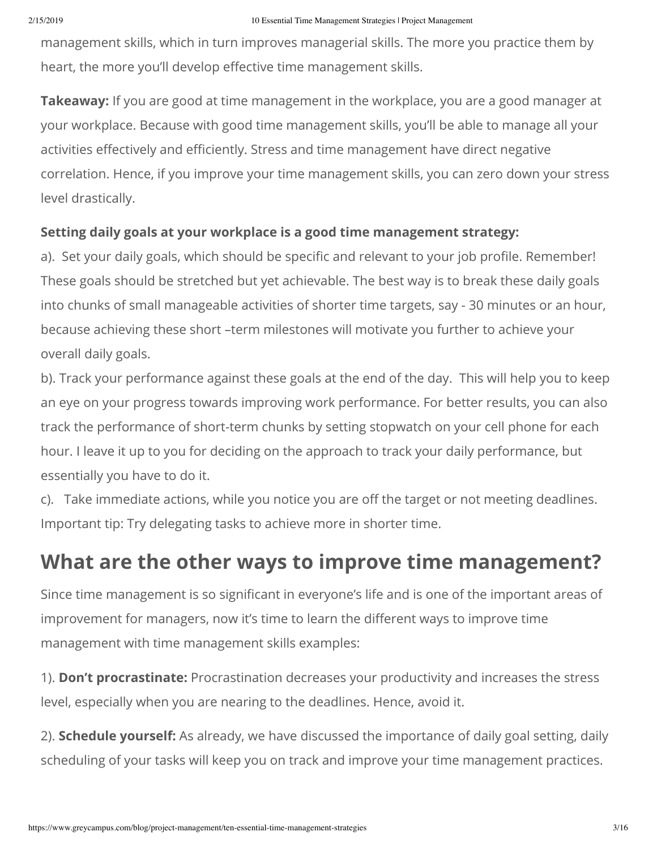management skills, which in turn improves managerial skills. The more you practice them by heart, the more you'll develop effective time management skills.

**Takeaway:** If you are good at time management in the workplace, you are a good manager at your workplace. Because with good time management skills, you'll be able to manage all your activities effectively and efficiently. Stress and time management have direct negative correlation. Hence, if you improve your time management skills, you can zero down your stress level drastically.

### **Setting daily goals at your workplace is a good time management strategy:**

a). Set your daily goals, which should be specific and relevant to your job profile. Remember! These goals should be stretched but yet achievable. The best way is to break these daily goals into chunks of small manageable activities of shorter time targets, say - 30 minutes or an hour, because achieving these short –term milestones will motivate you further to achieve your overall daily goals.

b). Track your performance against these goals at the end of the day. This will help you to keep an eye on your progress towards improving work performance. For better results, you can also track the performance of short-term chunks by setting stopwatch on your cell phone for each hour. I leave it up to you for deciding on the approach to track your daily performance, but essentially you have to do it.

c). Take immediate actions, while you notice you are off the target or not meeting deadlines. Important tip: Try delegating tasks to achieve more in shorter time.

# **What are the other ways to improve time management?**

Since time management is so significant in everyone's life and is one of the important areas of improvement for managers, now it's time to learn the different ways to improve time management with time management skills examples:

1). **Don't procrastinate:** Procrastination decreases your productivity and increases the stress level, especially when you are nearing to the deadlines. Hence, avoid it.

2). **Schedule yourself:** As already, we have discussed the importance of daily goal setting, daily scheduling of your tasks will keep you on track and improve your time management practices.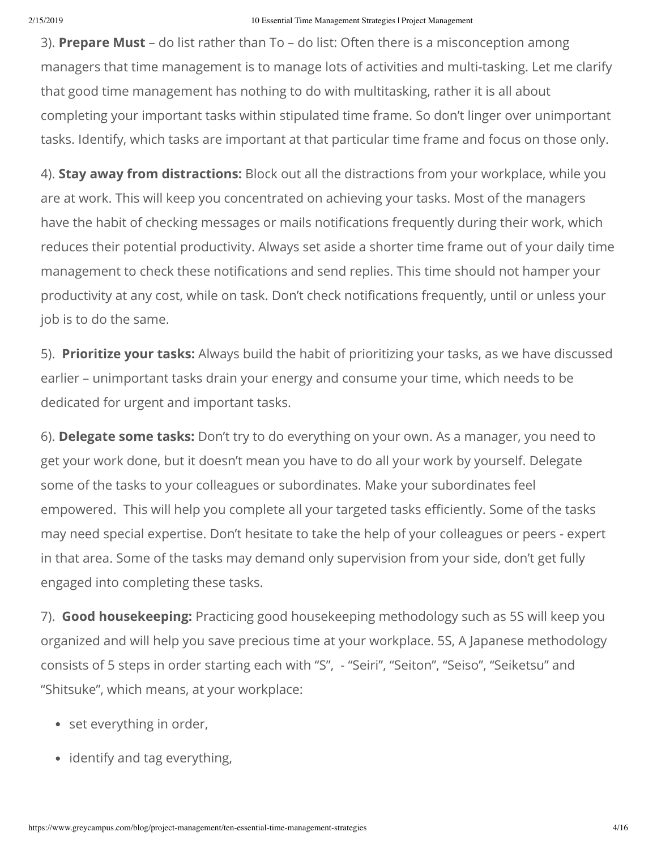3). **Prepare Must** – do list rather than To – do list: Often there is a misconception among managers that time management is to manage lots of activities and multi-tasking. Let me clarify that good time management has nothing to do with multitasking, rather it is all about completing your important tasks within stipulated time frame. So don't linger over unimportant tasks. Identify, which tasks are important at that particular time frame and focus on those only.

4). **Stay away from distractions:** Block out all the distractions from your workplace, while you are at work. This will keep you concentrated on achieving your tasks. Most of the managers have the habit of checking messages or mails notifications frequently during their work, which reduces their potential productivity. Always set aside a shorter time frame out of your daily time management to check these notifications and send replies. This time should not hamper your productivity at any cost, while on task. Don't check notifications frequently, until or unless your job is to do the same.

5). **Prioritize your tasks:** Always build the habit of prioritizing your tasks, as we have discussed earlier – unimportant tasks drain your energy and consume your time, which needs to be dedicated for urgent and important tasks.

6). **Delegate some tasks:** Don't try to do everything on your own. As a manager, you need to get your work done, but it doesn't mean you have to do all your work by yourself. Delegate some of the tasks to your colleagues or subordinates. Make your subordinates feel empowered. This will help you complete all your targeted tasks efficiently. Some of the tasks may need special expertise. Don't hesitate to take the help of your colleagues or peers - expert in that area. Some of the tasks may demand only supervision from your side, don't get fully engaged into completing these tasks.

7). **Good housekeeping:** Practicing good housekeeping methodology such as 5S will keep you organized and will help you save precious time at your workplace. 5S, A Japanese methodology consists of 5 steps in order starting each with "S", - "Seiri", "Seiton", "Seiso", "Seiketsu" and "Shitsuke", which means, at your workplace:

- set everything in order,
- identify and tag everything,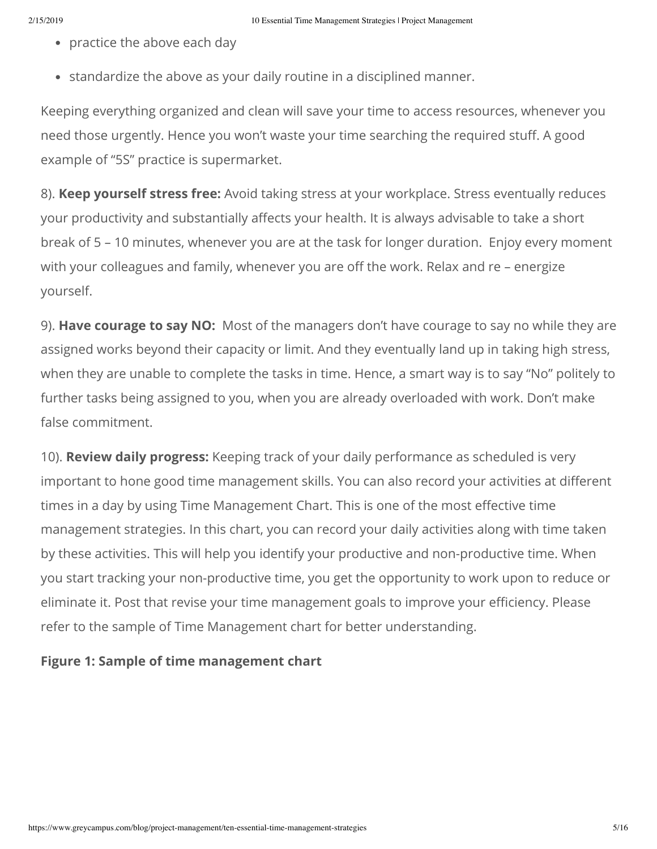- practice the above each day
- standardize the above as your daily routine in a disciplined manner.

Keeping everything organized and clean will save your time to access resources, whenever you need those urgently. Hence you won't waste your time searching the required stuff. A good example of "5S" practice is supermarket.

8). **Keep yourself stress free:** Avoid taking stress at your workplace. Stress eventually reduces your productivity and substantially affects your health. It is always advisable to take a short break of 5 – 10 minutes, whenever you are at the task for longer duration. Enjoy every moment with your colleagues and family, whenever you are off the work. Relax and re – energize yourself.

9). **Have courage to say NO:** Most of the managers don't have courage to say no while they are assigned works beyond their capacity or limit. And they eventually land up in taking high stress, when they are unable to complete the tasks in time. Hence, a smart way is to say "No" politely to further tasks being assigned to you, when you are already overloaded with work. Don't make false commitment.

10). **Review daily progress:** Keeping track of your daily performance as scheduled is very important to hone good time management skills. You can also record your activities at different times in a day by using Time Management Chart. This is one of the most effective time management strategies. In this chart, you can record your daily activities along with time taken by these activities. This will help you identify your productive and non-productive time. When you start tracking your non-productive time, you get the opportunity to work upon to reduce or eliminate it. Post that revise your time management goals to improve your efficiency. Please refer to the sample of Time Management chart for better understanding.

### **Figure 1: Sample of time management chart**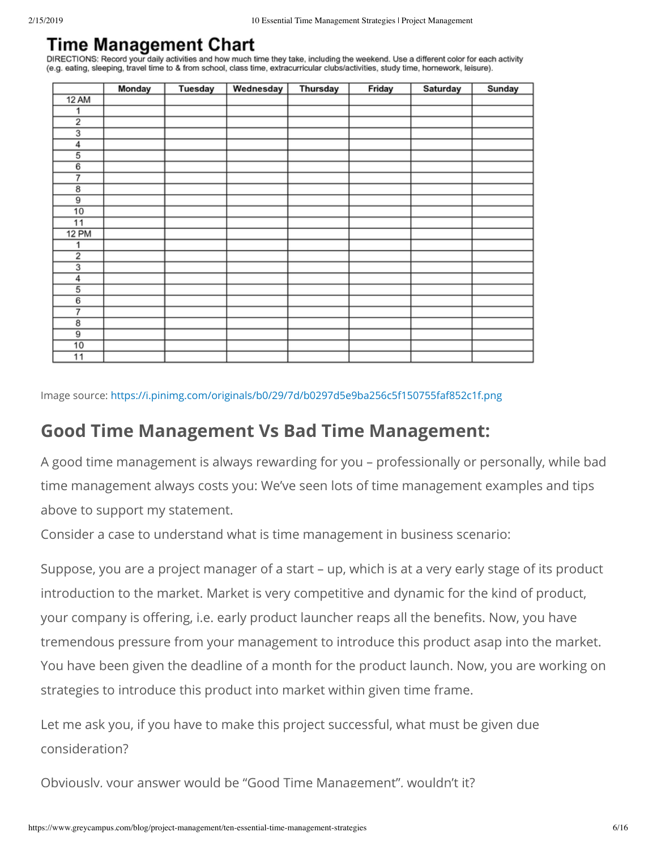## Time Management Chart

DIRECTIONS: Record your daily activities and how much time they take, including the weekend. Use a different color for each activity (e.g. eating, sleeping, travel time to & from school, class time, extracurricular clubs/activities, study time, homework, leisure).

|                 | Monday | <b>Tuesday</b> | Wednesday | <b>Thursday</b> | Friday | Saturday | Sunday |
|-----------------|--------|----------------|-----------|-----------------|--------|----------|--------|
| <b>12 AM</b>    |        |                |           |                 |        |          |        |
| 1               |        |                |           |                 |        |          |        |
| $\overline{2}$  |        |                |           |                 |        |          |        |
|                 |        |                |           |                 |        |          |        |
| 4               |        |                |           |                 |        |          |        |
| $\overline{5}$  |        |                |           |                 |        |          |        |
| $6\overline{6}$ |        |                |           |                 |        |          |        |
| 7               |        |                |           |                 |        |          |        |
| $\overline{8}$  |        |                |           |                 |        |          |        |
| $\overline{9}$  |        |                |           |                 |        |          |        |
| 10              |        |                |           |                 |        |          |        |
| 11              |        |                |           |                 |        |          |        |
| <b>12 PM</b>    |        |                |           |                 |        |          |        |
| 1               |        |                |           |                 |        |          |        |
| $\overline{2}$  |        |                |           |                 |        |          |        |
|                 |        |                |           |                 |        |          |        |
| $\overline{4}$  |        |                |           |                 |        |          |        |
| 5               |        |                |           |                 |        |          |        |
| $\overline{6}$  |        |                |           |                 |        |          |        |
| 7               |        |                |           |                 |        |          |        |
| $\overline{8}$  |        |                |           |                 |        |          |        |
| $\overline{9}$  |        |                |           |                 |        |          |        |
| 10              |        |                |           |                 |        |          |        |
| 11              |        |                |           |                 |        |          |        |

Image source:<https://i.pinimg.com/originals/b0/29/7d/b0297d5e9ba256c5f150755faf852c1f.png>

## **Good Time Management Vs Bad Time Management:**

A good time management is always rewarding for you – professionally or personally, while bad time management always costs you: We've seen lots of time management examples and tips above to support my statement.

Consider a case to understand what is time management in business scenario:

Suppose, you are a project manager of a start – up, which is at a very early stage of its product introduction to the market. Market is very competitive and dynamic for the kind of product, your company is offering, i.e. early product launcher reaps all the benefits. Now, you have tremendous pressure from your management to introduce this product asap into the market. You have been given the deadline of a month for the product launch. Now, you are working on strategies to introduce this product into market within given time frame.

Let me ask you, if you have to make this project successful, what must be given due consideration?

Obviously, your answer would be "Good Time Management", wouldn't it?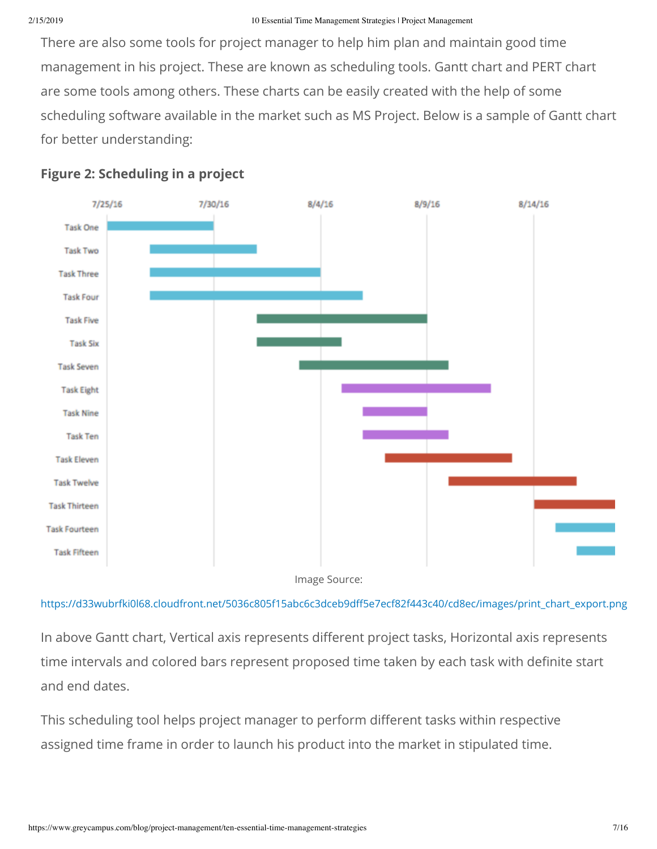There are also some tools for project manager to help him plan and maintain good time management in his project. These are known as scheduling tools. Gantt chart and PERT chart are some tools among others. These charts can be easily created with the help of some scheduling software available in the market such as MS Project. Below is a sample of Gantt chart for better understanding:



### **Figure 2: Scheduling in a project**

[https://d33wubrfki0l68.cloudfront.net/5036c805f15abc6c3dceb9d5e7ecf82f443c40/cd8ec/images/print\\_chart\\_export.png](https://d33wubrfki0l68.cloudfront.net/5036c805f15abc6c3dceb9dff5e7ecf82f443c40/cd8ec/images/print_chart_export.png)

In above Gantt chart, Vertical axis represents different project tasks, Horizontal axis represents time intervals and colored bars represent proposed time taken by each task with definite start and end dates.

This scheduling tool helps project manager to perform different tasks within respective assigned time frame in order to launch his product into the market in stipulated time.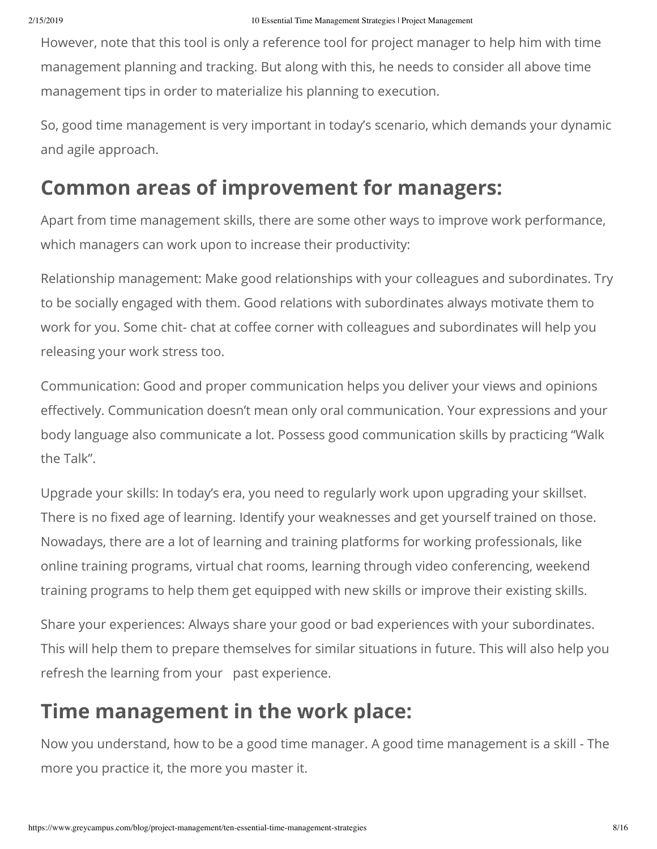However, note that this tool is only a reference tool for project manager to help him with time management planning and tracking. But along with this, he needs to consider all above time management tips in order to materialize his planning to execution.

So, good time management is very important in today's scenario, which demands your dynamic and agile approach.

# **Common areas of improvement for managers:**

Apart from time management skills, there are some other ways to improve work performance, which managers can work upon to increase their productivity:

Relationship management: Make good relationships with your colleagues and subordinates. Try to be socially engaged with them. Good relations with subordinates always motivate them to work for you. Some chit- chat at coffee corner with colleagues and subordinates will help you releasing your work stress too.

Communication: Good and proper communication helps you deliver your views and opinions effectively. Communication doesn't mean only oral communication. Your expressions and your body language also communicate a lot. Possess good communication skills by practicing "Walk the Talk".

Upgrade your skills: In today's era, you need to regularly work upon upgrading your skillset. There is no fixed age of learning. Identify your weaknesses and get yourself trained on those. Nowadays, there are a lot of learning and training platforms for working professionals, like online training programs, virtual chat rooms, learning through video conferencing, weekend training programs to help them get equipped with new skills or improve their existing skills.

Share your experiences: Always share your good or bad experiences with your subordinates. This will help them to prepare themselves for similar situations in future. This will also help you refresh the learning from your past experience.

# **Time management in the work place:**

Now you understand, how to be a good time manager. A good time management is a skill - The more you practice it, the more you master it.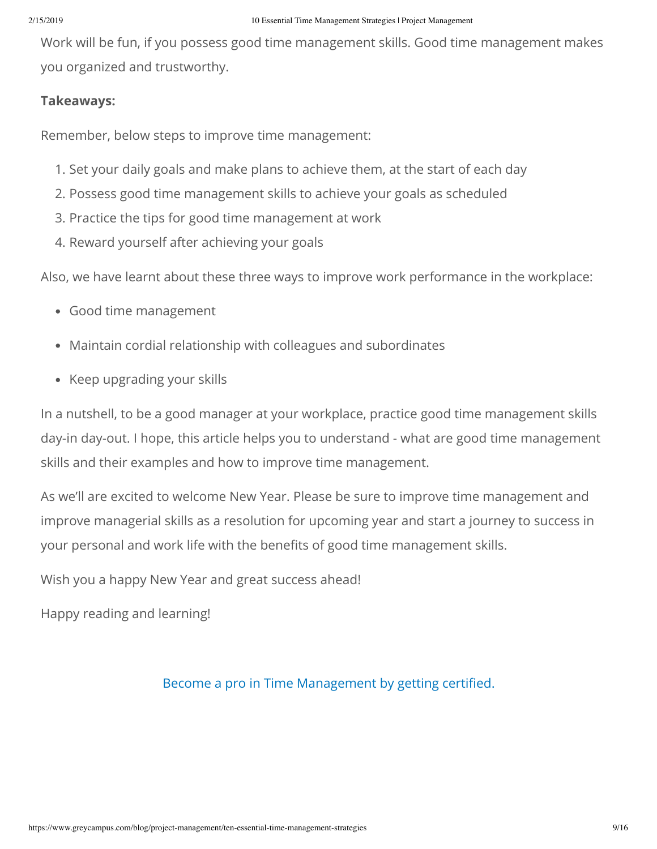Work will be fun, if you possess good time management skills. Good time management makes you organized and trustworthy.

### **Takeaways:**

Remember, below steps to improve time management:

- 1. Set your daily goals and make plans to achieve them, at the start of each day
- 2. Possess good time management skills to achieve your goals as scheduled
- 3. Practice the tips for good time management at work
- 4. Reward yourself after achieving your goals

Also, we have learnt about these three ways to improve work performance in the workplace:

- Good time management
- Maintain cordial relationship with colleagues and subordinates
- Keep upgrading your skills

In a nutshell, to be a good manager at your workplace, practice good time management skills day-in day-out. I hope, this article helps you to understand - what are good time management skills and their examples and how to improve time management.

As we'll are excited to welcome New Year. Please be sure to improve time management and improve managerial skills as a resolution for upcoming year and start a journey to success in your personal and work life with the benefits of good time management skills.

Wish you a happy New Year and great success ahead!

Happy reading and learning!

### Become a pro in Time Management by getting certified.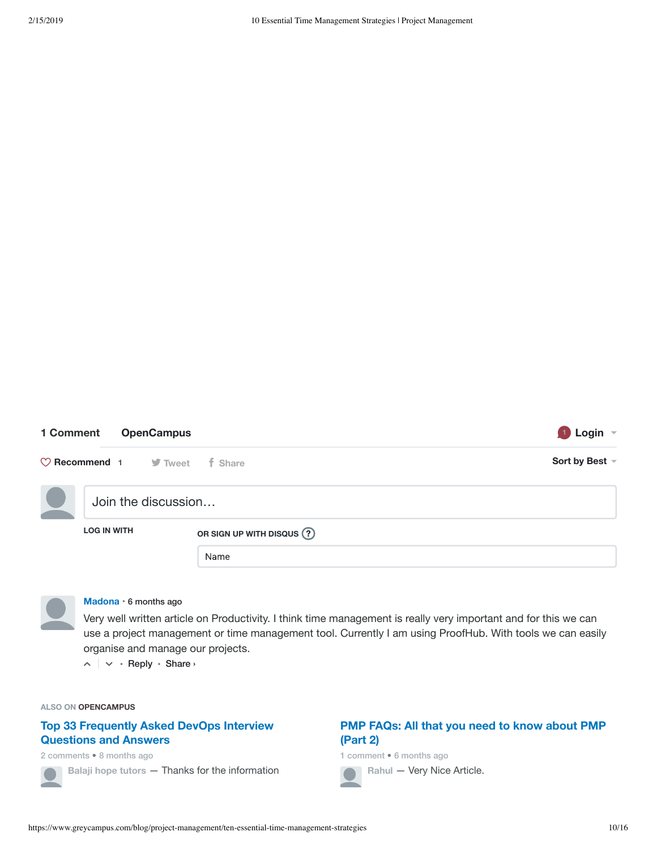### **1 Comment [OpenCampus](https://disqus.com/home/forums/opencampus/) <sup>1</sup> Login**

| $\heartsuit$ Recommend 1 J Tweet | f Share                  | Sort by Best $\sim$ |  |
|----------------------------------|--------------------------|---------------------|--|
| Join the discussion              |                          |                     |  |
| <b>LOG IN WITH</b>               | OR SIGN UP WITH DISQUS ? |                     |  |
|                                  | Name                     |                     |  |



#### **[Madona](https://disqus.com/by/disqus_JdxEAsoB5e/)** • 6 [months](https://www.greycampus.com/blog/project-management/ten-essential-time-management-strategies#comment-4037668613) ago

Very well written article on Productivity. I think time management is really very important and for this we can use a project management or time management tool. Currently I am using ProofHub. With tools we can easily organise and manage our projects.

 $\lambda \sim \cdot$  Reply • Share »

#### **ALSO ON OPENCAMPUS**

### **Top 33 [Frequently](https://disq.us/?url=https%3A%2F%2Fwww.greycampus.com%2Fblog%2Fcloud%2Ftop-33-frequently-asked-devops-interview-questions-and-answers&key=K2i7drzQ7MAtZMgaHByEog) Asked DevOps Interview Questions and Answers**

2 comments • 8 months ago

**Balaji hope tutors** — Thanks for the [information](https://disq.us/?url=https%3A%2F%2Fwww.greycampus.com%2Fblog%2Fcloud%2Ftop-33-frequently-asked-devops-interview-questions-and-answers&key=K2i7drzQ7MAtZMgaHByEog)

### **PMP FAQs: All that you need to know about PMP (Part 2)**

1 comment • 6 months ago

**Rahul** — [Very Nice](https://disq.us/?url=https%3A%2F%2Fwww.greycampus.com%2Fblog%2Fproject-management%2Fpmp-faqs-part-two&key=m9dsv1C8F-iOmB6ubkDETw) Article.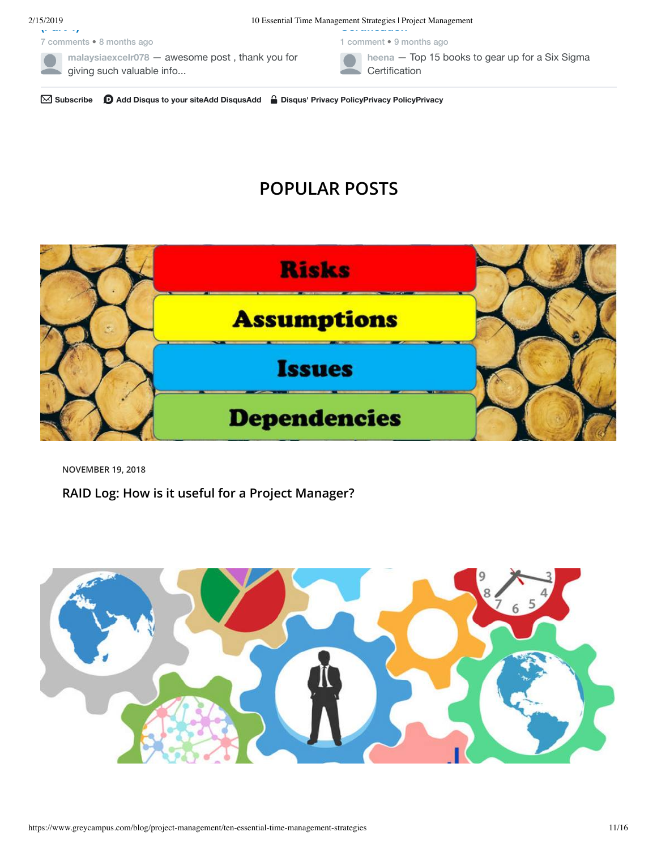7 comments • 8 months ago

2/15/2019<br> **Certification** 10 Essential Time Management Strategies | Project Management

1 comment • 9 months ago



#### **heena** — Top 15 books to gear up for a Six Sigma **[Certification](https://disq.us/?url=https%3A%2F%2Fwww.greycampus.com%2Fblog%2Fquality-management%2Ftop-15-books-to-gear-up-for-a-six-sigma-certification&key=VZPnZaaaO6BGQAy7ov6ZTQ)**

✉ **Subscribe** d **Add Disqus to your siteAdd [DisqusAdd](https://publishers.disqus.com/engage?utm_source=opencampus&utm_medium=Disqus-Footer) Disqus' Privacy [PolicyPrivacy](https://disqus.com/) PolicyPrivacy**

# **POPULAR POSTS**



**NOVEMBER 19, 2018**

**[RAID Log: How is it useful for a Project Manager?](https://www.greycampus.com/blog/project-management/raid-log-how-is-it-useful-for-a-project-manager)**

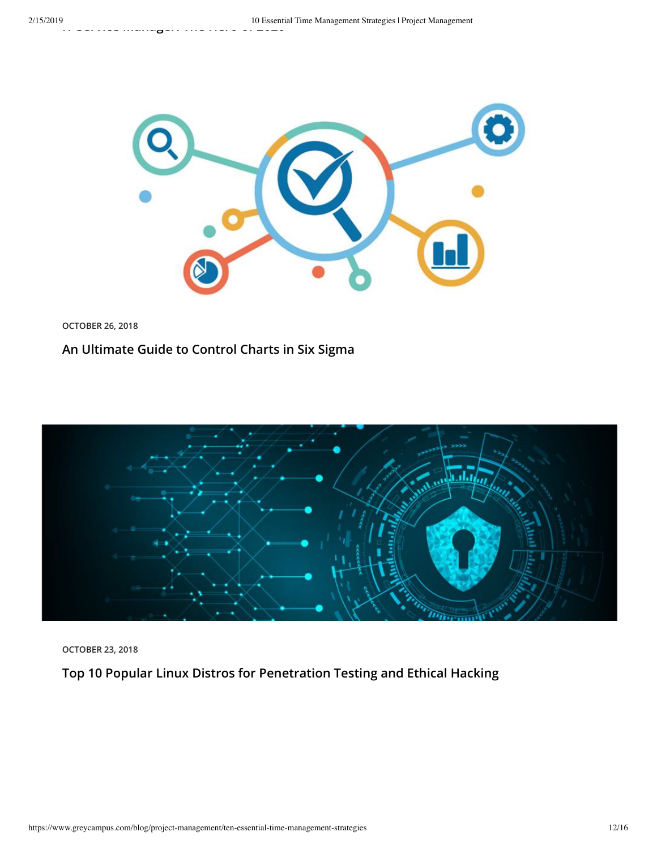

**OCTOBER 26, 2018**

### **[An Ultimate Guide to Control Charts in Six Sigma](https://www.greycampus.com/blog/quality-management/an-ultimate-guide-to-control-charts-in-six-sigma)**



**OCTOBER 23, 2018**

**[Top 10 Popular Linux Distros for Penetration Testing and Ethical Hacking](https://www.greycampus.com/blog/information-security/top-ten-popular-linux-distros-for-penetration-testing-and-ethical-hacking)**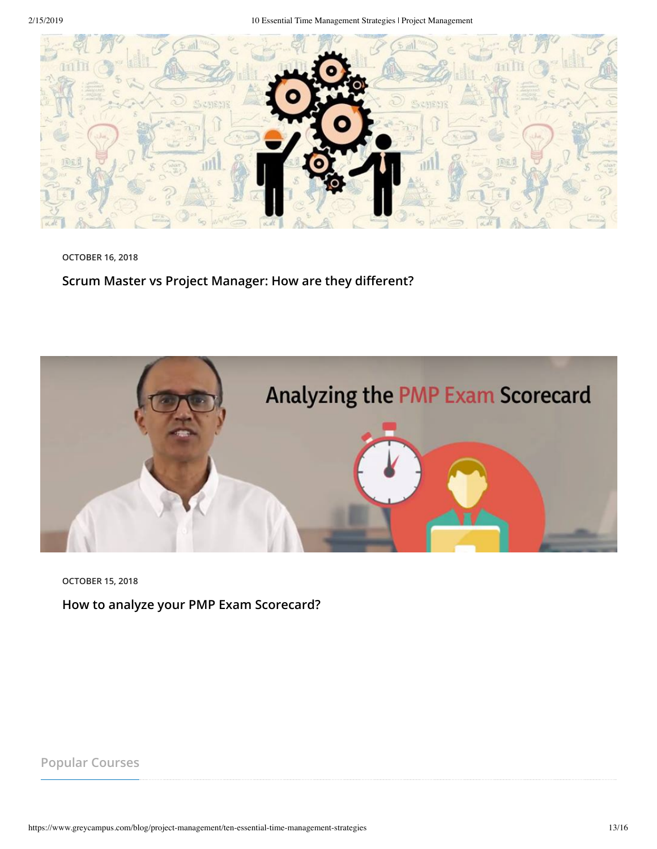

**OCTOBER 16, 2018**

Scrum Master vs Project Manager: How are they different?



**OCTOBER 15, 2018**

**[How to analyze your PMP Exam Scorecard?](https://www.greycampus.com/blog/project-management/how-to-analyze-your-pmp-exam-scorecard)**

**Popular Courses**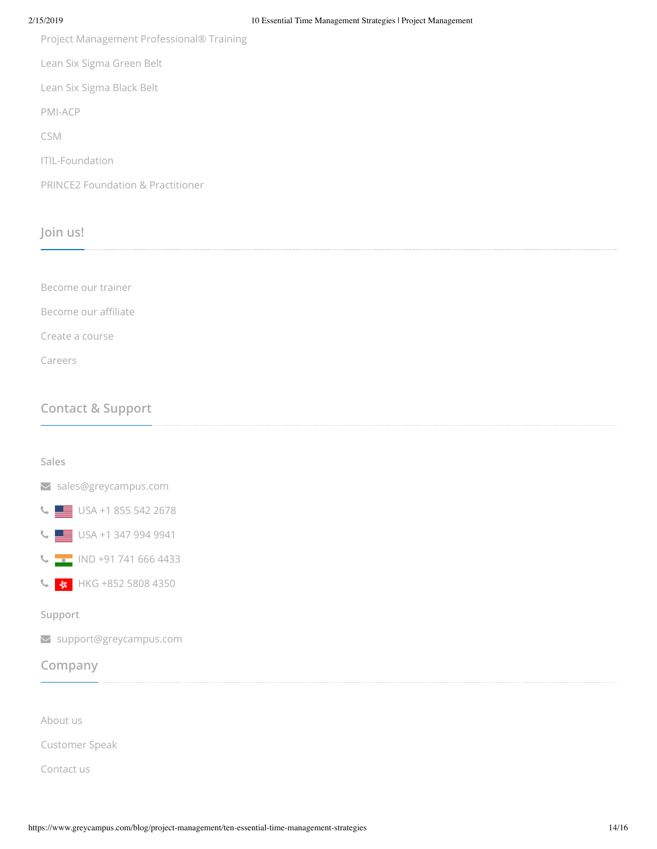[Project Management Professional® Training](https://www.greycampus.com/pmp-training-instructor-led)

[Lean Six Sigma Green Belt](https://www.greycampus.com/lean-six-sigma-green-belt-training-instructor-led)

[Lean Six Sigma Black Belt](https://www.greycampus.com/lean-six-sigma-black-belt-training-instructor-led)

[PMI-ACP](https://www.greycampus.com/pmi-acp-training-instructor-led)

[CSM](https://www.greycampus.com/csm-training-instructor-led)

[ITIL-Foundation](https://www.greycampus.com/itil-foundation-training-instructor-led)

[PRINCE2 Foundation & Practitioner](https://www.greycampus.com/prince2-foundation-and-practitioner-training-combo)

### **Join us!**

| Become our trainer           |  |  |
|------------------------------|--|--|
| Become our affiliate         |  |  |
| Create a course              |  |  |
| Careers                      |  |  |
|                              |  |  |
| <b>Contact &amp; Support</b> |  |  |

# **Sales**

[sales@greycampus.com](mailto:sales@greycampus.com)



[USA +1 347 994 9941](tel:+13479949941)



C +852 5808 4350

#### **Support**

[support@greycampus.com](mailto:support@greycampus.com)

### **Company**

[About us](https://www.greycampus.com/about-us)

[Customer Speak](https://www.greycampus.com/all-testimonials)

[Contact us](https://www.greycampus.com/contact-us)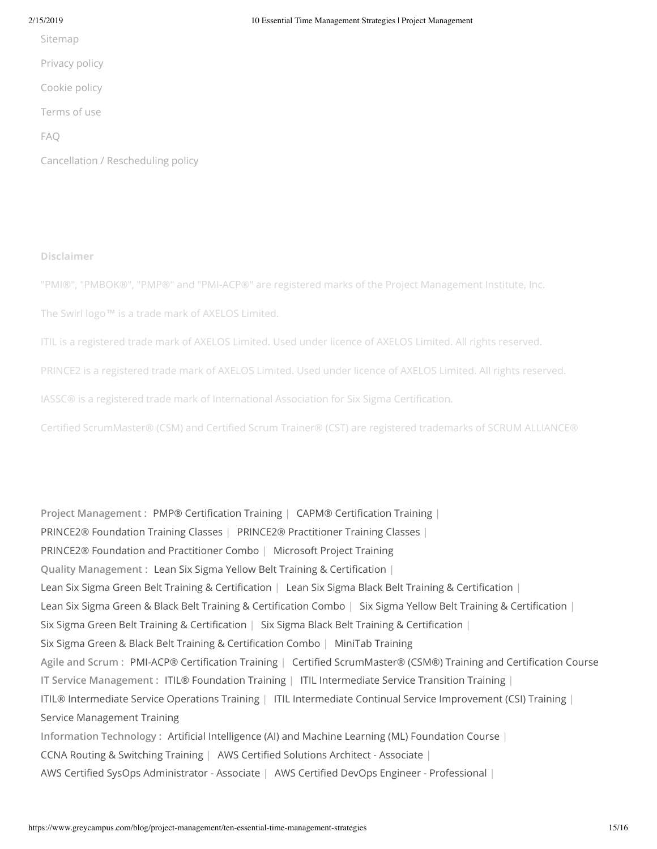[Sitemap](https://www.greycampus.com/sitemap)

[Privacy policy](https://www.greycampus.com/privacy-policy)

[Cookie policy](https://www.greycampus.com/cookie-policy)

[Terms of use](https://www.greycampus.com/terms-of-use)

[FAQ](https://www.greycampus.com/faqs)

[Cancellation / Rescheduling policy](https://www.greycampus.com/cancel-reschedule-policy)

#### **Disclaimer**

"PMI®", "PMBOK®", "PMP®" and "PMI-ACP®" are registered marks of the Project Management Institute, Inc.

The Swirl logo™ is a trade mark of AXELOS Limited.

ITIL is a registered trade mark of AXELOS Limited. Used under licence of AXELOS Limited. All rights reserved.

PRINCE2 is a registered trade mark of AXELOS Limited. Used under licence of AXELOS Limited. All rights reserved.

IASSC® is a registered trade mark of International Association for Six Sigma Certication.

Certified ScrumMaster® (CSM) and Certified Scrum Trainer® (CST) are registered trademarks of SCRUM ALLIANCE®

Project Management : PMP® Certification Training | CAPM® Certification Training | [PRINCE2® Foundation Training Classes](https://www.greycampus.com/prince2-foundation-training-instructor-led) | [PRINCE2® Practitioner Training Classes](https://www.greycampus.com/prince2-practitioner-training-instructor-led) | [PRINCE2® Foundation and Practitioner Combo](https://www.greycampus.com/prince2-foundation-and-practitioner-training-combo) | [Microsoft Project Training](https://www.greycampus.com/microsoft-project-training-instructor-led) **Quality Management : Lean Six Sigma Yellow Belt Training & Certification** | Lean Six Sigma Green Belt Training & Certification | Lean Six Sigma Black Belt Training & Certification | Lean Six Sigma Green & Black Belt Training & Certification Combo | Six Sigma Yellow Belt Training & Certification | Six Sigma Green Belt Training & Certification | Six Sigma Black Belt Training & Certification | Six Sigma Green & Black Belt Training & Certification Combo | [MiniTab Training](https://www.greycampus.com/minitab-certification-training-course) **Agile and Scrum :** [PMI-ACP® Certication Training](https://www.greycampus.com/pmi-acp-certification-training) | [Certied ScrumMaster® \(CSM®\) Training and Certication Course](https://www.greycampus.com/csm-training-instructor-led) **IT Service Management :** [ITIL® Foundation Training](https://www.greycampus.com/itil-foundation-training-instructor-led) | [ITIL Intermediate Service Transition Training](https://www.greycampus.com/itil-intermediate-service-transition-training-instructor-led) | [ITIL® Intermediate Service Operations Training](https://www.greycampus.com/itil-intermediate-service-operations-certification-training-course) | [ITIL Intermediate Continual Service Improvement \(CSI\) Training](https://www.greycampus.com/itil-intermediate-csi-training-instructor-led) | [Service Management Training](https://www.greycampus.com/service-management-certification-training-course) Information Technology : Artificial Intelligence (AI) and Machine Learning (ML) Foundation Course | [CCNA Routing & Switching Training](https://www.greycampus.com/ccna-routing-and-switching-certification-training-instructor-led) | AWS Certified Solutions Architect - Associate | AWS Certified SysOps Administrator - Associate | AWS Certified DevOps Engineer - Professional |